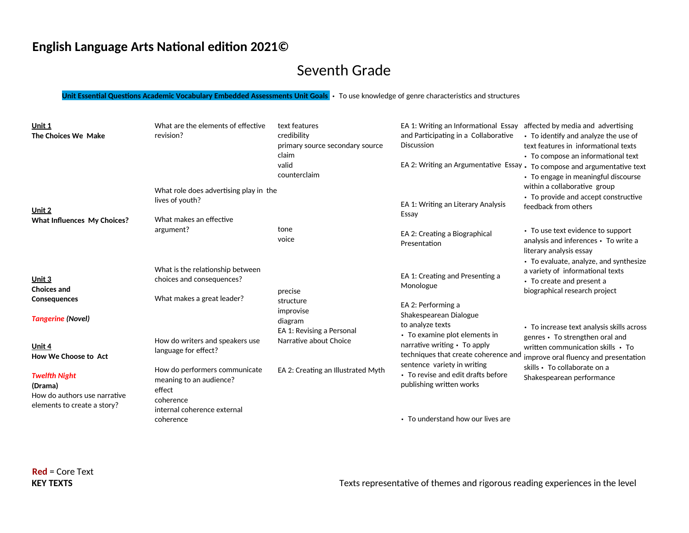## Seventh Grade

**Unit Essential Questions Academic Vocabulary Embedded Assessments Unit Goals** • To use knowledge of genre characteristics and structures

| Unit 1<br>The Choices We Make                                                                  | What are the elements of effective<br>revision?<br>What role does advertising play in the                      | text features<br>credibility<br>primary source secondary source<br>claim<br>valid<br>counterclaim | EA 1: Writing an Informational Essay affected by media and advertising<br>and Participating in a Collaborative<br><b>Discussion</b> | • To identify and analyze the use of<br>text features in informational texts<br>• To compose an informational text<br>EA 2: Writing an Argumentative Essay . To compose and argumentative text<br>• To engage in meaningful discourse<br>within a collaborative group |
|------------------------------------------------------------------------------------------------|----------------------------------------------------------------------------------------------------------------|---------------------------------------------------------------------------------------------------|-------------------------------------------------------------------------------------------------------------------------------------|-----------------------------------------------------------------------------------------------------------------------------------------------------------------------------------------------------------------------------------------------------------------------|
| Unit 2<br><b>What Influences My Choices?</b>                                                   | lives of youth?<br>What makes an effective                                                                     |                                                                                                   | EA 1: Writing an Literary Analysis<br>Essay                                                                                         | • To provide and accept constructive<br>feedback from others                                                                                                                                                                                                          |
|                                                                                                | argument?                                                                                                      | tone<br>voice                                                                                     | EA 2: Creating a Biographical<br>Presentation                                                                                       | • To use text evidence to support<br>analysis and inferences • To write a<br>literary analysis essay                                                                                                                                                                  |
| Unit 3<br><b>Choices and</b>                                                                   | What is the relationship between<br>choices and consequences?                                                  | precise                                                                                           | EA 1: Creating and Presenting a<br>Monologue                                                                                        | • To evaluate, analyze, and synthesize<br>a variety of informational texts<br>• To create and present a<br>biographical research project                                                                                                                              |
| <b>Consequences</b><br><b>Tangerine (Novel)</b>                                                | What makes a great leader?                                                                                     | structure<br>improvise<br>diagram<br>EA 1: Revising a Personal                                    | EA 2: Performing a<br>Shakespearean Dialogue<br>to analyze texts                                                                    | • To increase text analysis skills across                                                                                                                                                                                                                             |
| Unit 4<br>How We Choose to Act                                                                 | How do writers and speakers use<br>language for effect?                                                        | Narrative about Choice                                                                            | • To examine plot elements in<br>narrative writing • To apply<br>techniques that create coherence and                               | genres • To strengthen oral and<br>written communication skills • To<br>improve oral fluency and presentation                                                                                                                                                         |
| <b>Twelfth Night</b><br>(Drama)<br>How do authors use narrative<br>elements to create a story? | How do performers communicate<br>meaning to an audience?<br>effect<br>coherence<br>internal coherence external | EA 2: Creating an Illustrated Myth                                                                | sentence variety in writing<br>• To revise and edit drafts before<br>publishing written works                                       | skills • To collaborate on a<br>Shakespearean performance                                                                                                                                                                                                             |
|                                                                                                | coherence                                                                                                      |                                                                                                   | • To understand how our lives are                                                                                                   |                                                                                                                                                                                                                                                                       |